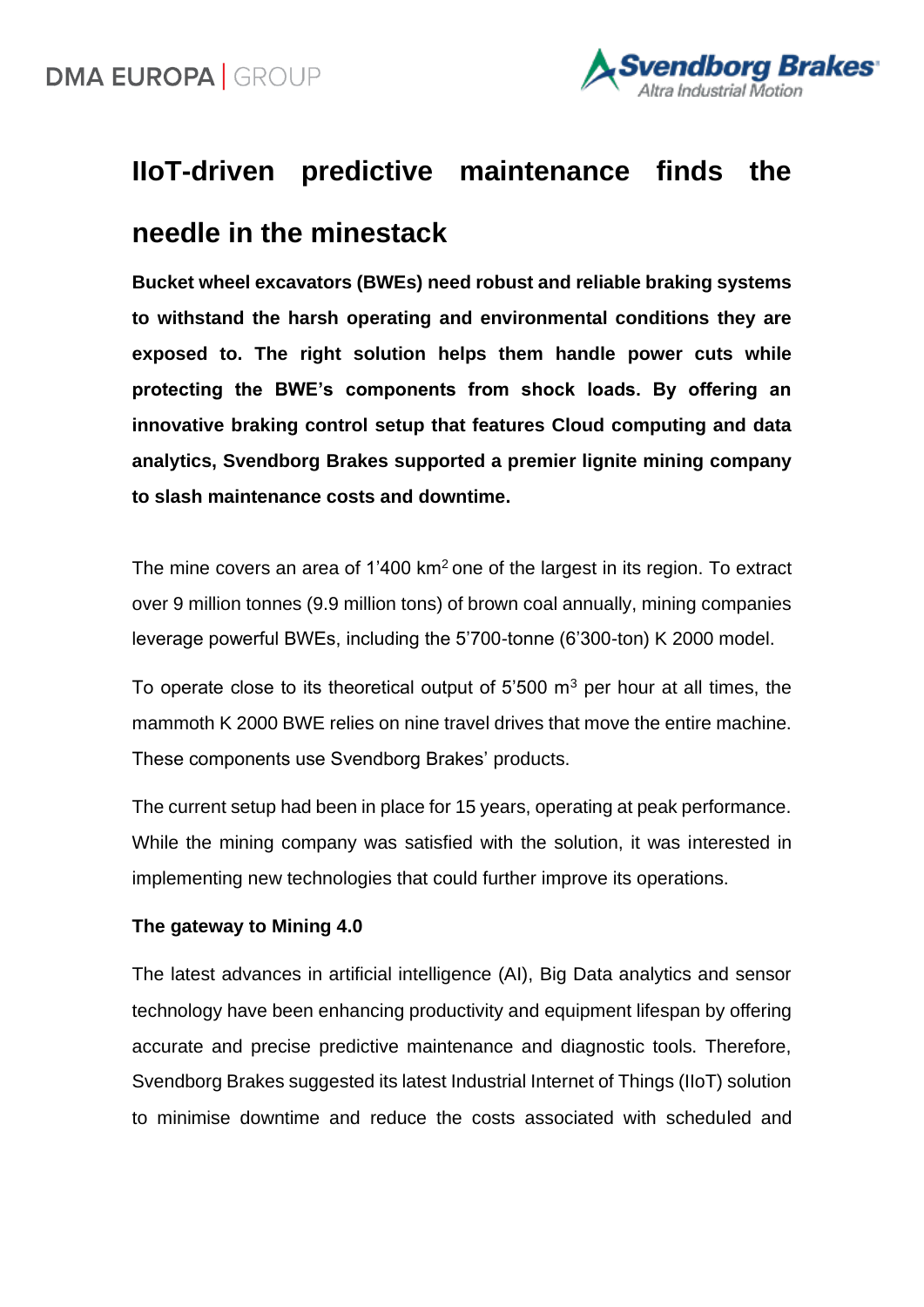

# **IIoT-driven predictive maintenance finds the**

### **needle in the minestack**

**Bucket wheel excavators (BWEs) need robust and reliable braking systems to withstand the harsh operating and environmental conditions they are exposed to. The right solution helps them handle power cuts while protecting the BWE's components from shock loads. By offering an innovative braking control setup that features Cloud computing and data analytics, Svendborg Brakes supported a premier lignite mining company to slash maintenance costs and downtime.** 

The mine covers an area of 1'400 km<sup>2</sup> one of the largest in its region. To extract over 9 million tonnes (9.9 million tons) of brown coal annually, mining companies leverage powerful BWEs, including the 5'700-tonne (6'300-ton) K 2000 model.

To operate close to its theoretical output of  $5'500 \, \text{m}^3$  per hour at all times, the mammoth K 2000 BWE relies on nine travel drives that move the entire machine. These components use Svendborg Brakes' products.

The current setup had been in place for 15 years, operating at peak performance. While the mining company was satisfied with the solution, it was interested in implementing new technologies that could further improve its operations.

### **The gateway to Mining 4.0**

The latest advances in artificial intelligence (AI), Big Data analytics and sensor technology have been enhancing productivity and equipment lifespan by offering accurate and precise predictive maintenance and diagnostic tools. Therefore, Svendborg Brakes suggested its latest Industrial Internet of Things (IIoT) solution to minimise downtime and reduce the costs associated with scheduled and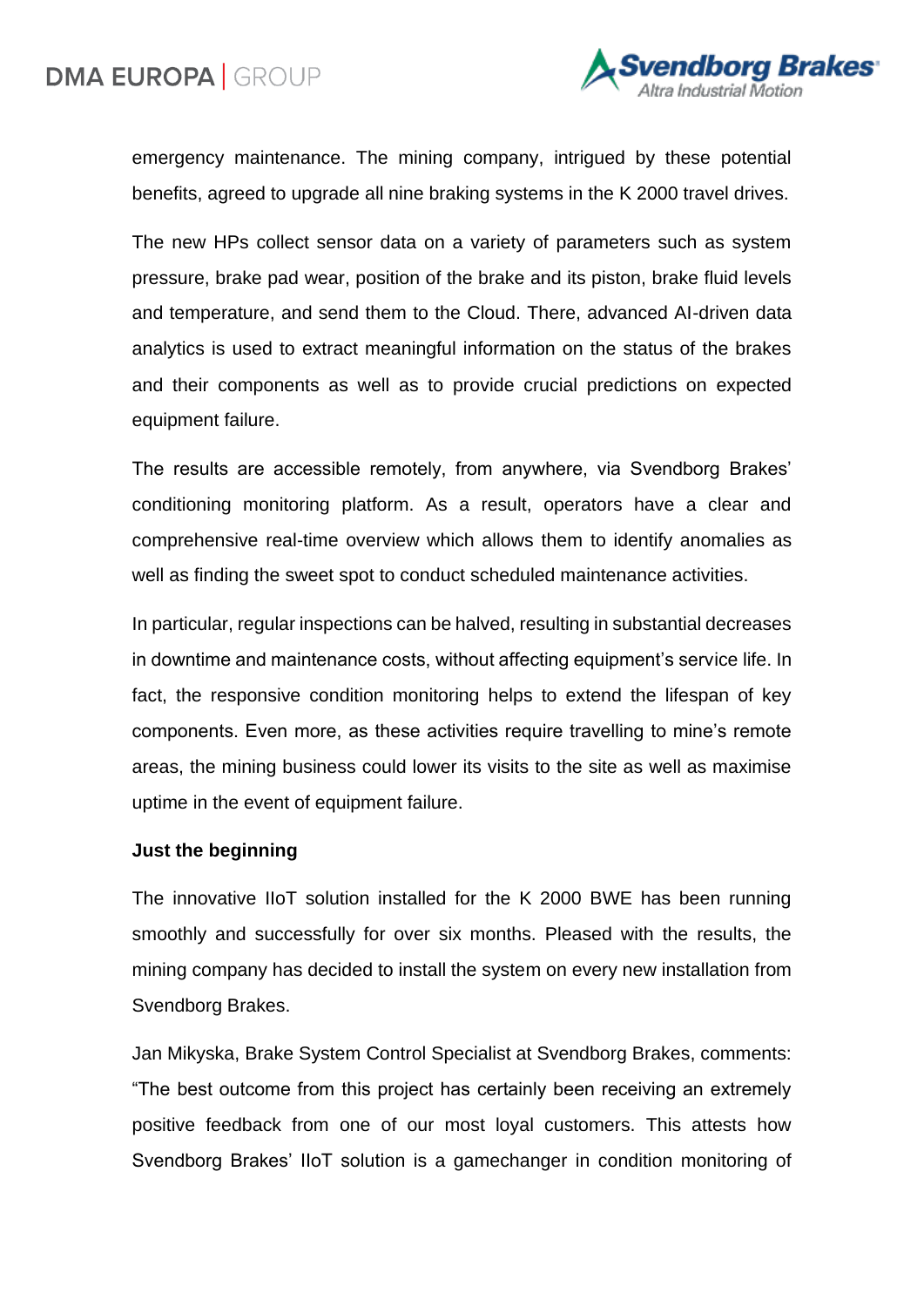# **DMA EUROPA GROUP**



emergency maintenance. The mining company, intrigued by these potential benefits, agreed to upgrade all nine braking systems in the K 2000 travel drives.

The new HPs collect sensor data on a variety of parameters such as system pressure, brake pad wear, position of the brake and its piston, brake fluid levels and temperature, and send them to the Cloud. There, advanced AI-driven data analytics is used to extract meaningful information on the status of the brakes and their components as well as to provide crucial predictions on expected equipment failure.

The results are accessible remotely, from anywhere, via Svendborg Brakes' conditioning monitoring platform. As a result, operators have a clear and comprehensive real-time overview which allows them to identify anomalies as well as finding the sweet spot to conduct scheduled maintenance activities.

In particular, regular inspections can be halved, resulting in substantial decreases in downtime and maintenance costs, without affecting equipment's service life. In fact, the responsive condition monitoring helps to extend the lifespan of key components. Even more, as these activities require travelling to mine's remote areas, the mining business could lower its visits to the site as well as maximise uptime in the event of equipment failure.

#### **Just the beginning**

The innovative IIoT solution installed for the K 2000 BWE has been running smoothly and successfully for over six months. Pleased with the results, the mining company has decided to install the system on every new installation from Svendborg Brakes.

Jan Mikyska, Brake System Control Specialist at Svendborg Brakes, comments: "The best outcome from this project has certainly been receiving an extremely positive feedback from one of our most loyal customers. This attests how Svendborg Brakes' IIoT solution is a gamechanger in condition monitoring of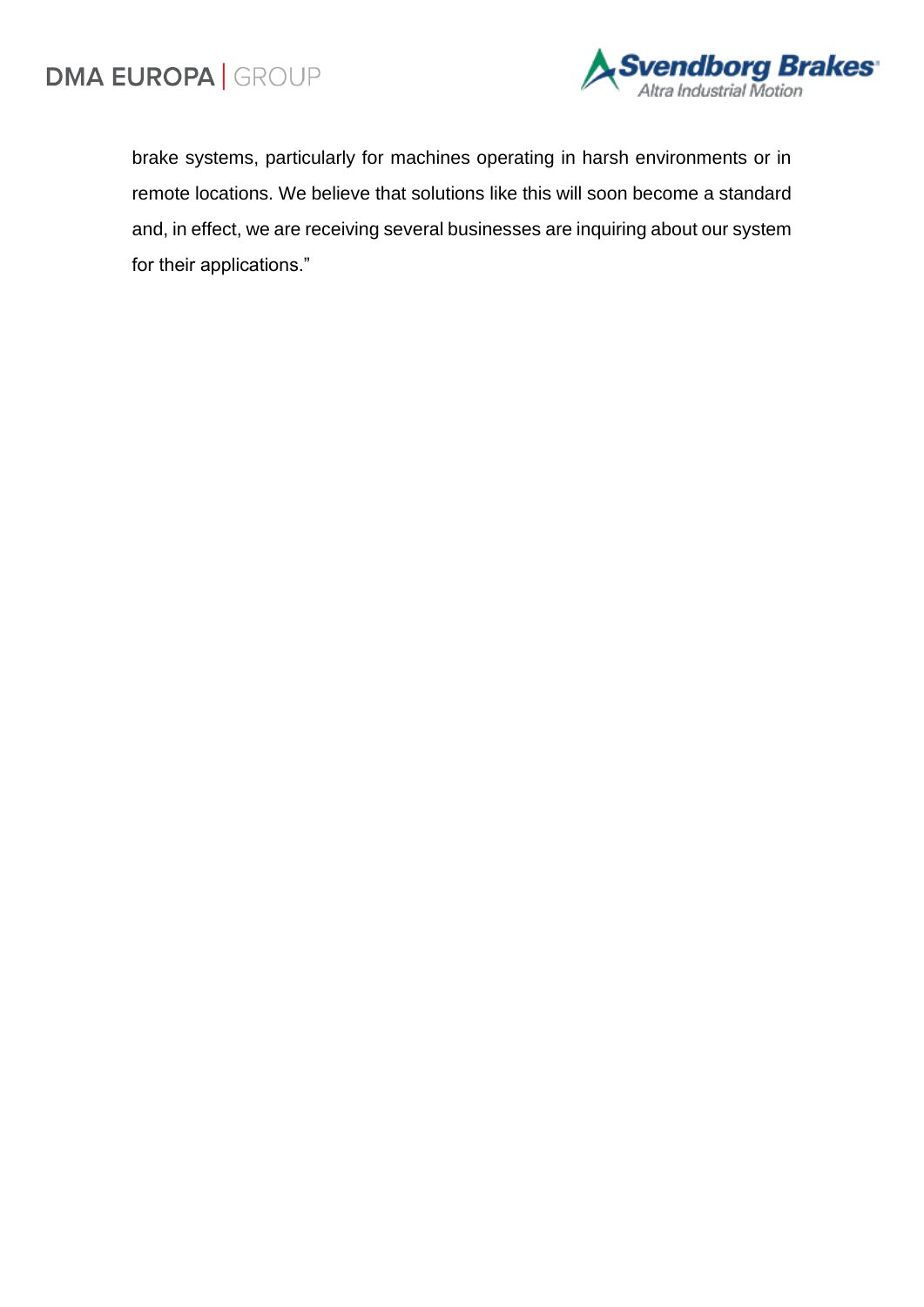

brake systems, particularly for machines operating in harsh environments or in remote locations. We believe that solutions like this will soon become a standard and, in effect, we are receiving several businesses are inquiring about our system for their applications."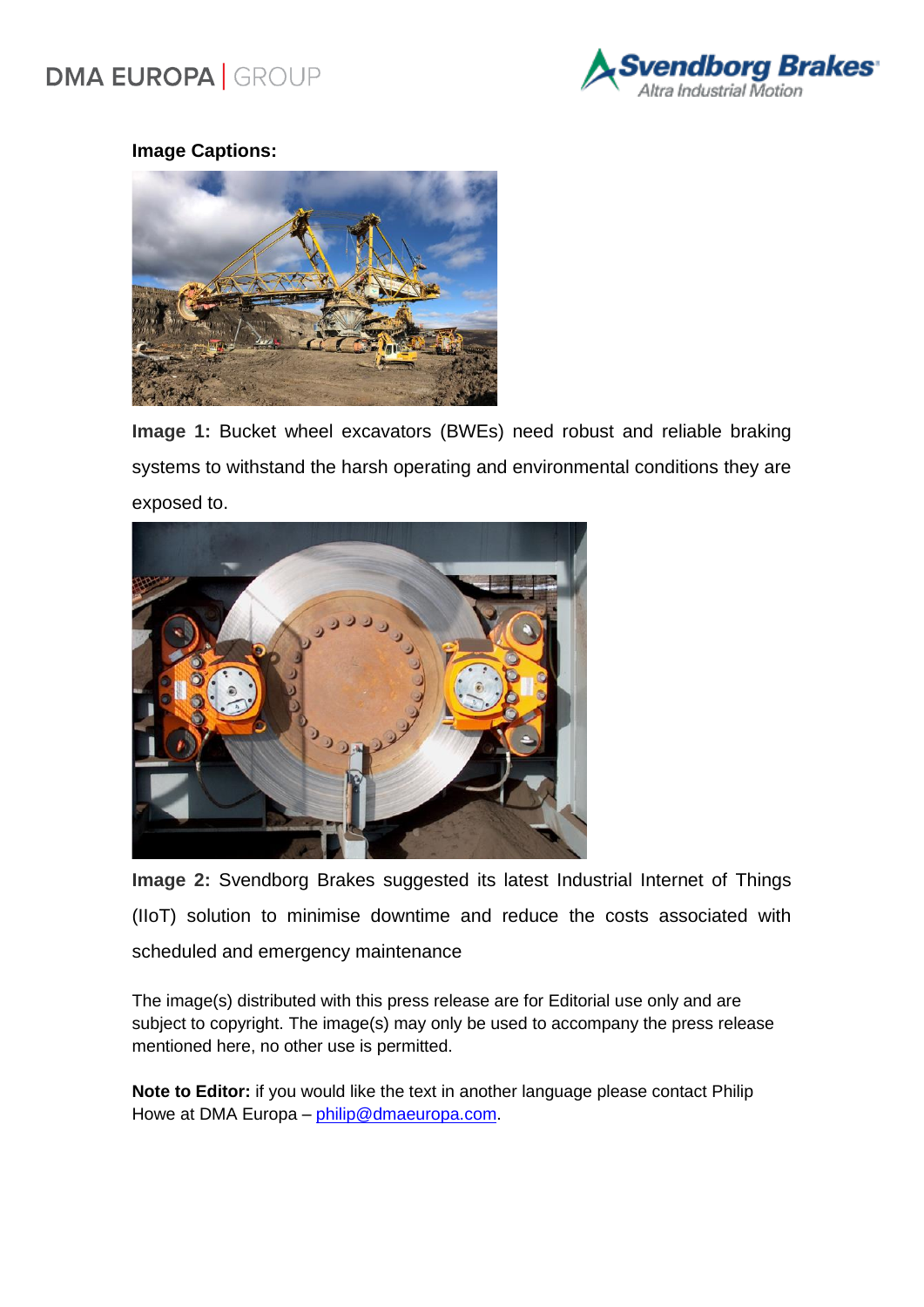# **DMA EUROPA | GROUP**



### **Image Captions:**



**Image 1:** Bucket wheel excavators (BWEs) need robust and reliable braking systems to withstand the harsh operating and environmental conditions they are exposed to.



**Image 2:** Svendborg Brakes suggested its latest Industrial Internet of Things (IIoT) solution to minimise downtime and reduce the costs associated with scheduled and emergency maintenance

The image(s) distributed with this press release are for Editorial use only and are subject to copyright. The image(s) may only be used to accompany the press release mentioned here, no other use is permitted.

**Note to Editor:** if you would like the text in another language please contact Philip Howe at DMA Europa – [philip@dmaeuropa.com.](mailto:philip@dmaeuropa.com)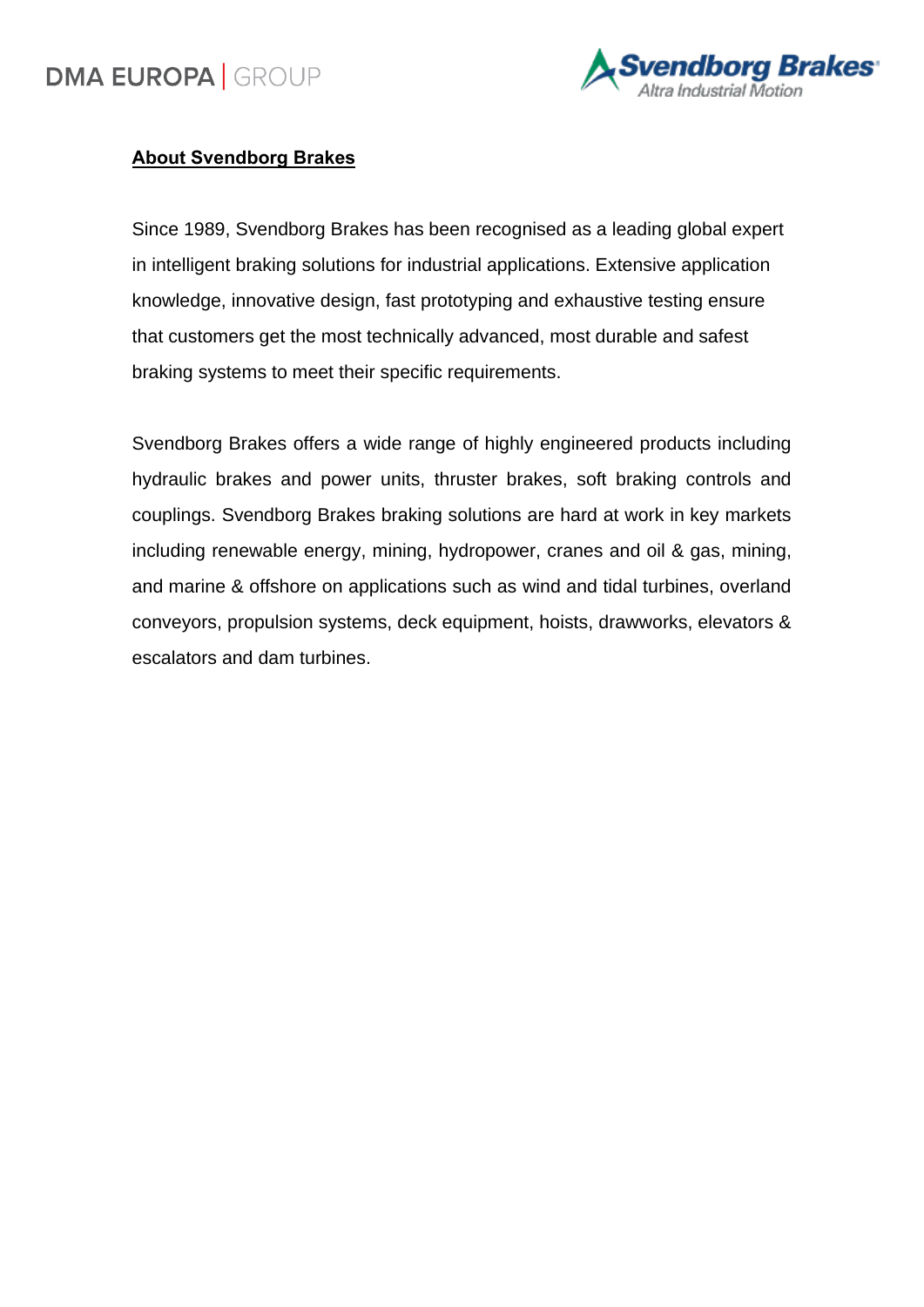# **DMA EUROPA | GROUP**



### **About Svendborg Brakes**

Since 1989, Svendborg Brakes has been recognised as a leading global expert in intelligent braking solutions for industrial applications. Extensive application knowledge, innovative design, fast prototyping and exhaustive testing ensure that customers get the most technically advanced, most durable and safest braking systems to meet their specific requirements.

Svendborg Brakes offers a wide range of highly engineered products including hydraulic brakes and power units, thruster brakes, soft braking controls and couplings. Svendborg Brakes braking solutions are hard at work in key markets including renewable energy, mining, hydropower, cranes and oil & gas, mining, and marine & offshore on applications such as wind and tidal turbines, overland conveyors, propulsion systems, deck equipment, hoists, drawworks, elevators & escalators and dam turbines.